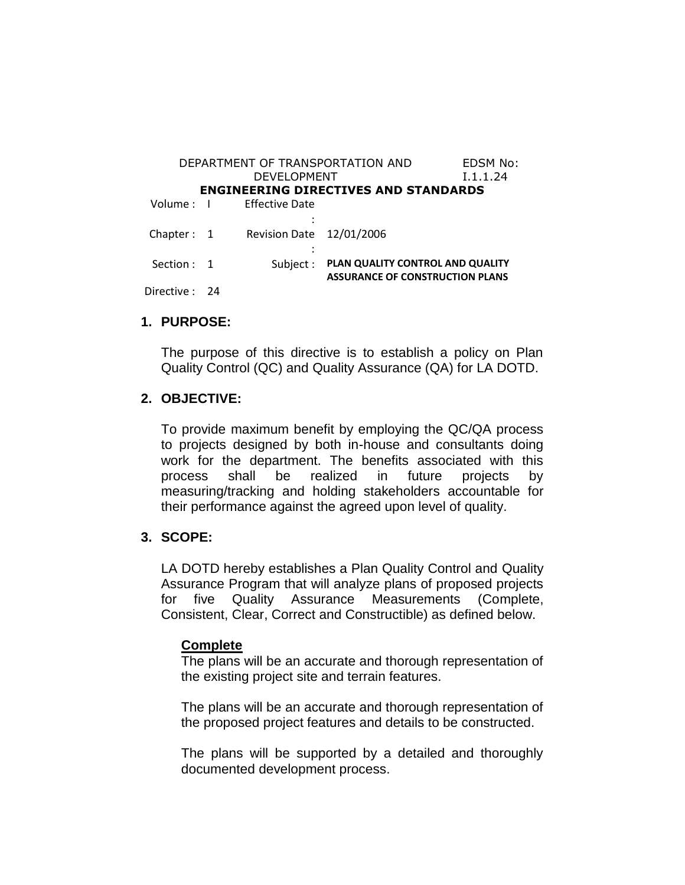| DEPARTMENT OF TRANSPORTATION AND            |  |                          |                                        | EDSM No: |
|---------------------------------------------|--|--------------------------|----------------------------------------|----------|
| DEVELOPMENT                                 |  |                          |                                        | I.1.1.24 |
| <b>ENGINEERING DIRECTIVES AND STANDARDS</b> |  |                          |                                        |          |
| Volume : I                                  |  | Effective Date           |                                        |          |
|                                             |  |                          |                                        |          |
| Chapter: $1$                                |  | Revision Date 12/01/2006 |                                        |          |
|                                             |  |                          |                                        |          |
| Section: 1                                  |  | Subject:                 | PLAN QUALITY CONTROL AND QUALITY       |          |
|                                             |  |                          | <b>ASSURANCE OF CONSTRUCTION PLANS</b> |          |
| Directive : 24                              |  |                          |                                        |          |

## **1. PURPOSE:**

The purpose of this directive is to establish a policy on Plan Quality Control (QC) and Quality Assurance (QA) for LA DOTD.

## **2. OBJECTIVE:**

To provide maximum benefit by employing the QC/QA process to projects designed by both in-house and consultants doing work for the department. The benefits associated with this process shall be realized in future projects by measuring/tracking and holding stakeholders accountable for their performance against the agreed upon level of quality.

## **3. SCOPE:**

LA DOTD hereby establishes a Plan Quality Control and Quality Assurance Program that will analyze plans of proposed projects for five Quality Assurance Measurements (Complete, Consistent, Clear, Correct and Constructible) as defined below.

#### **Complete**

The plans will be an accurate and thorough representation of the existing project site and terrain features.

The plans will be an accurate and thorough representation of the proposed project features and details to be constructed.

The plans will be supported by a detailed and thoroughly documented development process.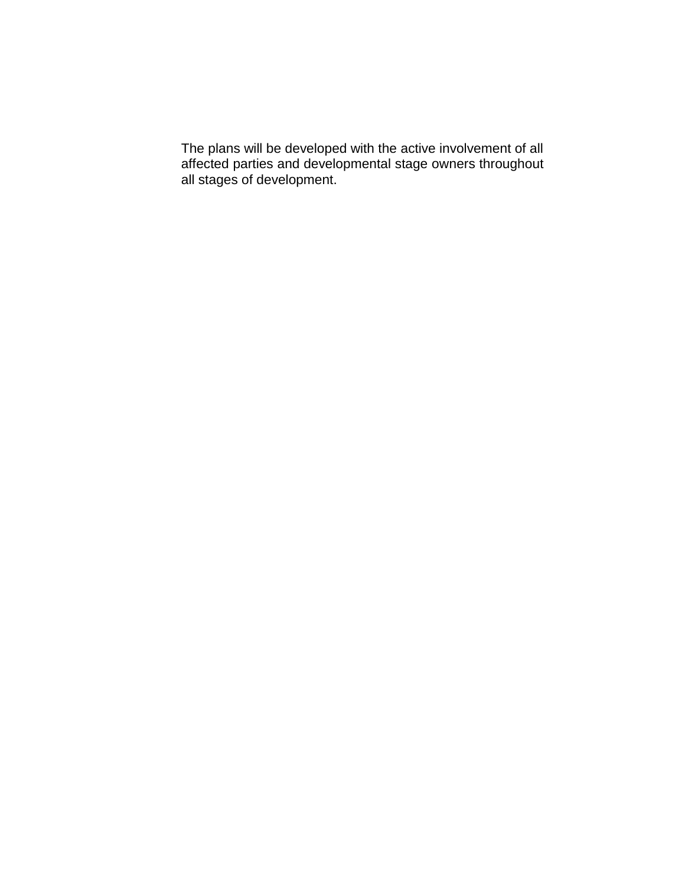The plans will be developed with the active involvement of all affected parties and developmental stage owners throughout all stages of development.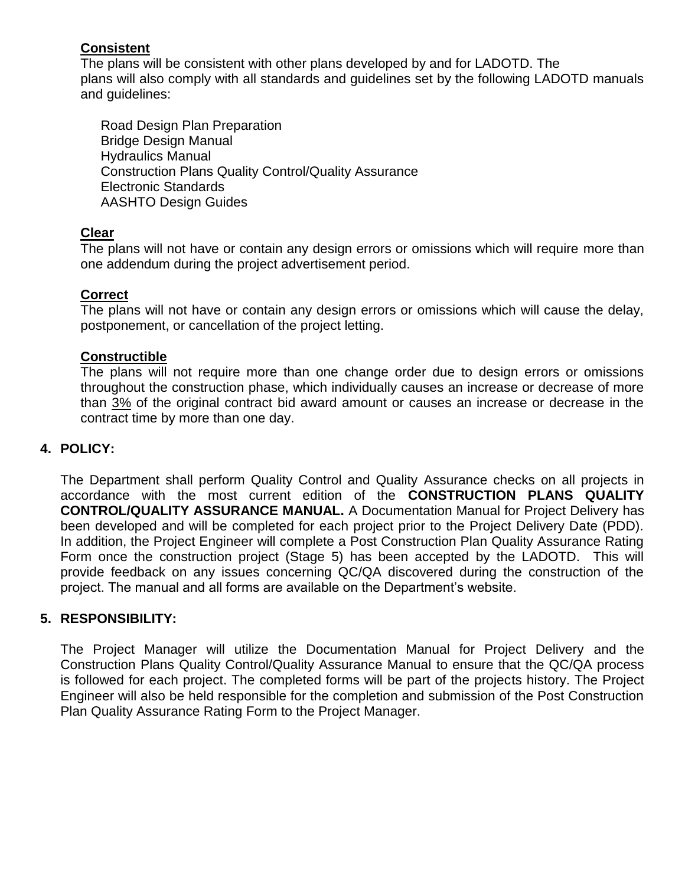# **Consistent**

The plans will be consistent with other plans developed by and for LADOTD. The plans will also comply with all standards and guidelines set by the following LADOTD manuals and guidelines:

Road Design Plan Preparation Bridge Design Manual Hydraulics Manual Construction Plans Quality Control/Quality Assurance Electronic Standards AASHTO Design Guides

# **Clear**

The plans will not have or contain any design errors or omissions which will require more than one addendum during the project advertisement period.

# **Correct**

The plans will not have or contain any design errors or omissions which will cause the delay, postponement, or cancellation of the project letting.

# **Constructible**

The plans will not require more than one change order due to design errors or omissions throughout the construction phase, which individually causes an increase or decrease of more than 3% of the original contract bid award amount or causes an increase or decrease in the contract time by more than one day.

# **4. POLICY:**

The Department shall perform Quality Control and Quality Assurance checks on all projects in accordance with the most current edition of the **CONSTRUCTION PLANS QUALITY CONTROL/QUALITY ASSURANCE MANUAL.** A Documentation Manual for Project Delivery has been developed and will be completed for each project prior to the Project Delivery Date (PDD). In addition, the Project Engineer will complete a Post Construction Plan Quality Assurance Rating Form once the construction project (Stage 5) has been accepted by the LADOTD. This will provide feedback on any issues concerning QC/QA discovered during the construction of the project. The manual and all forms are available on the Department's website.

# **5. RESPONSIBILITY:**

The Project Manager will utilize the Documentation Manual for Project Delivery and the Construction Plans Quality Control/Quality Assurance Manual to ensure that the QC/QA process is followed for each project. The completed forms will be part of the projects history. The Project Engineer will also be held responsible for the completion and submission of the Post Construction Plan Quality Assurance Rating Form to the Project Manager.